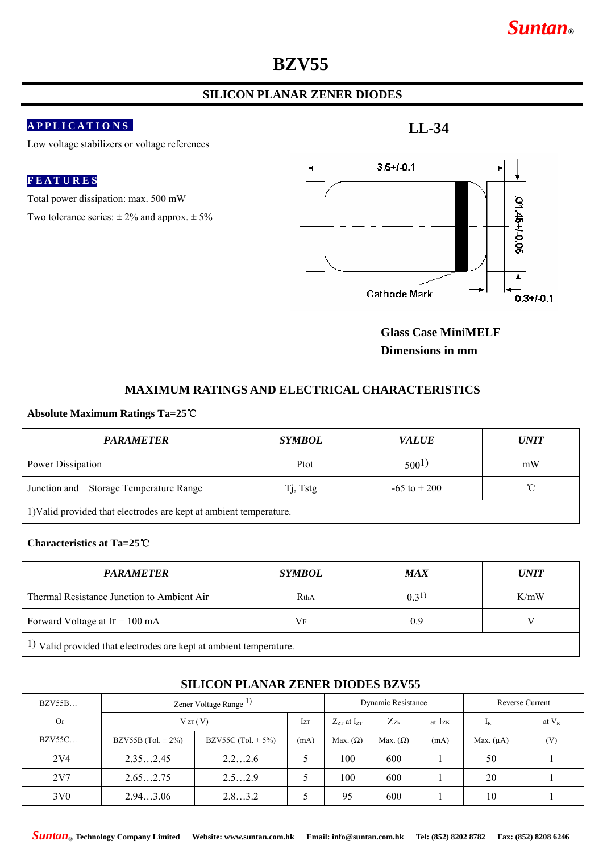# *Suntan***®**

# **BZV55**

# **SILICON PLANAR ZENER DIODES**

## **A P P L I C A T I O N S**

Low voltage stabilizers or voltage references

### **F E A T U R E S**

Total power dissipation: max. 500 mW

Two tolerance series:  $\pm 2\%$  and approx.  $\pm 5\%$ 

**LL-34** 



**Glass Case MiniMELF Dimensions in mm** 

### **MAXIMUM RATINGS AND ELECTRICAL CHARACTERISTICS**

#### **Absolute Maximum Ratings Ta=25**℃

| <b>PARAMETER</b>                                                   | <i>SYMBOL</i> | <b>VALUE</b>     | <i><b>UNIT</b></i> |  |  |  |  |
|--------------------------------------------------------------------|---------------|------------------|--------------------|--|--|--|--|
| Power Dissipation                                                  | Ptot          | 500 <sup>1</sup> | mW                 |  |  |  |  |
| Junction and Storage Temperature Range                             | Tj, Tstg      | $-65$ to $+200$  | $^{\circ}$ C       |  |  |  |  |
| 1) Valid provided that electrodes are kept at ambient temperature. |               |                  |                    |  |  |  |  |

#### **Characteristics at Ta=25**℃

| <b>PARAMETER</b>                                                               | <i>SYMBOL</i> | <b>MAX</b> | <i><b>UNIT</b></i> |  |  |  |  |
|--------------------------------------------------------------------------------|---------------|------------|--------------------|--|--|--|--|
| Thermal Resistance Junction to Ambient Air                                     | RthA          | (0.31)     | K/mW               |  |  |  |  |
| Forward Voltage at $IF = 100 \text{ mA}$                                       | Vf            | 0.9        |                    |  |  |  |  |
| <sup>1</sup> ) Valid provided that electrodes are kept at ambient temperature. |               |            |                    |  |  |  |  |

| <b>BZV55B</b>   | Zener Voltage Range <sup>1</sup> ) |                        | Dynamic Resistance |                      |                 | Reverse Current |                |          |
|-----------------|------------------------------------|------------------------|--------------------|----------------------|-----------------|-----------------|----------------|----------|
| <b>Or</b>       | VZT(V)                             |                        | <b>Izt</b>         | $Z_{ZT}$ at $I_{ZT}$ | $Z_{Zk}$        | at Izk          | $I_R$          | at $V_R$ |
| <b>BZV55C</b>   | BZV55B (Tol. $\pm$ 2%)             | BZV55C (Tol. $\pm$ 5%) | (mA)               | Max. $(\Omega)$      | Max. $(\Omega)$ | (mA)            | Max. $(\mu A)$ | (V)      |
| 2V <sub>4</sub> | 2.352.45                           | 2.22.6                 |                    | 100                  | 600             |                 | 50             |          |
| 2V7             | 2.652.75                           | 2.52.9                 |                    | 100                  | 600             |                 | 20             |          |
| 3V <sub>0</sub> | 2.943.06                           | 2.83.2                 |                    | 95                   | 600             |                 | 10             |          |

## **SILICON PLANAR ZENER DIODES BZV55**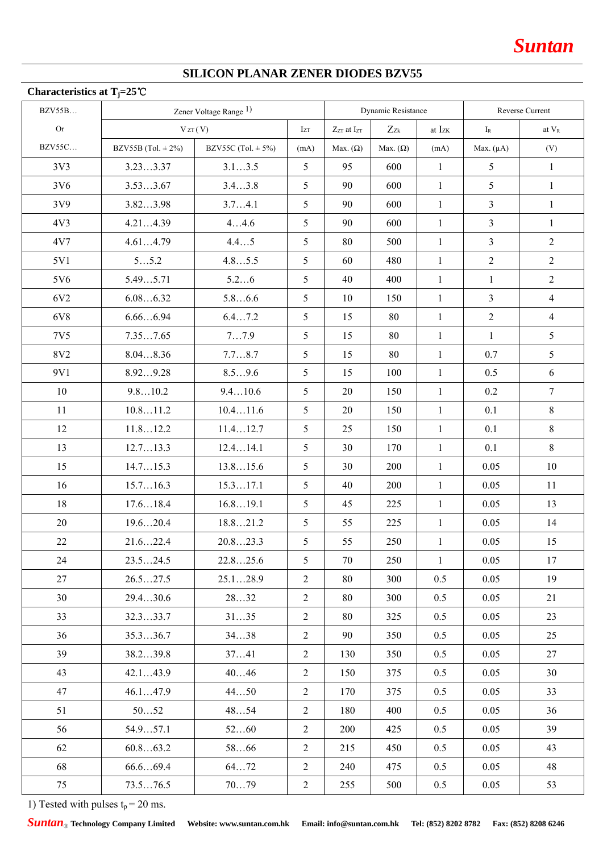# **SILICON PLANAR ZENER DIODES BZV55**

| Characteristics at T <sub>j</sub> =25 <sup>°</sup> C |                                   |                        |                |                      |                 |                 |                |                   |
|------------------------------------------------------|-----------------------------------|------------------------|----------------|----------------------|-----------------|-----------------|----------------|-------------------|
| <b>BZV55B</b>                                        | Zener Voltage Range <sup>1)</sup> |                        |                | Dynamic Resistance   |                 | Reverse Current |                |                   |
| Or                                                   |                                   | VZT(V)                 | Izt            | $Z_{ZT}$ at $I_{ZT}$ | $Z_{Zk}$        | at Izk          | $I_{R}$        | at V <sub>R</sub> |
| <b>BZV55C</b>                                        | BZV55B (Tol. $\pm$ 2%)            | BZV55C (Tol. $\pm$ 5%) | (mA)           | Max. $(\Omega)$      | Max. $(\Omega)$ | (mA)            | Max. $(\mu A)$ | (V)               |
| 3V3                                                  | 3.233.37                          | 3.13.5                 | 5              | 95                   | 600             | $\mathbf{1}$    | 5              | $\mathbf{1}$      |
| 3V6                                                  | 3.533.67                          | 3.43.8                 | 5              | 90                   | 600             | $\mathbf{1}$    | 5              | $\mathbf{1}$      |
| 3V9                                                  | 3.823.98                          | 3.74.1                 | 5              | 90                   | 600             | $\mathbf{1}$    | $\overline{3}$ | $\mathbf{1}$      |
| 4V <sub>3</sub>                                      | 4.214.39                          | 44.6                   | 5              | 90                   | 600             | $\mathbf{1}$    | $\mathfrak{Z}$ | $\mathbf{1}$      |
| 4V7                                                  | 4.614.79                          | 4.45                   | 5              | 80                   | 500             | $\mathbf{1}$    | $\overline{3}$ | $\overline{2}$    |
| 5V1                                                  | 55.2                              | 4.85.5                 | 5              | 60                   | 480             | $\mathbf{1}$    | $\overline{2}$ | $\overline{2}$    |
| 5V6                                                  | 5.495.71                          | 5.26                   | 5              | 40                   | 400             | $\mathbf{1}$    | $\mathbf{1}$   | $\overline{2}$    |
| 6V <sub>2</sub>                                      | 6.086.32                          | 5.86.6                 | 5              | 10                   | 150             | $\mathbf{1}$    | $\overline{3}$ | 4                 |
| 6V8                                                  | 6.666.94                          | 6.47.2                 | 5              | 15                   | 80              | $\mathbf{1}$    | $\overline{2}$ | $\overline{4}$    |
| 7V5                                                  | 7.357.65                          | 77.9                   | 5              | 15                   | 80              | $\mathbf{1}$    | $\mathbf{1}$   | 5                 |
| 8V2                                                  | 8.048.36                          | 7.78.7                 | 5              | 15                   | 80              | $\mathbf{1}$    | 0.7            | 5                 |
| 9V1                                                  | 8.929.28                          | 8.59.6                 | 5              | 15                   | 100             | $\mathbf{1}$    | 0.5            | 6                 |
| 10                                                   | 9.810.2                           | 9.410.6                | 5              | 20                   | 150             | $\mathbf{1}$    | 0.2            | $\tau$            |
| 11                                                   | 10.811.2                          | 10.411.6               | 5              | 20                   | 150             | $\mathbf{1}$    | 0.1            | $8\,$             |
| 12                                                   | 11.812.2                          | 11.412.7               | 5              | 25                   | 150             | $\mathbf{1}$    | 0.1            | 8                 |
| 13                                                   | 12.713.3                          | 12.414.1               | 5              | 30                   | 170             | $\mathbf{1}$    | 0.1            | 8                 |
| 15                                                   | 14.715.3                          | 13.815.6               | 5              | 30                   | 200             | $\mathbf{1}$    | 0.05           | 10                |
| 16                                                   | 15.716.3                          | 15.317.1               | 5              | 40                   | 200             | $\mathbf{1}$    | 0.05           | 11                |
| 18                                                   | 17.618.4                          | 16.819.1               | 5              | 45                   | 225             | $\mathbf{1}$    | 0.05           | 13                |
| 20                                                   | 19.620.4                          | 18.821.2               | 5              | 55                   | 225             | $\mathbf{1}$    | 0.05           | 14                |
| 22                                                   | 21.622.4                          | 20.823.3               | 5              | 55                   | 250             | $\mathbf{1}$    | 0.05           | 15                |
| 24                                                   | 23.524.5                          | 22.825.6               | 5 <sup>5</sup> | 70                   | 250             | 1               | 0.05           | 17                |
| 27                                                   | 26.527.5                          | 25.128.9               | $\overline{2}$ | 80                   | 300             | 0.5             | 0.05           | 19                |
| 30                                                   | 29.430.6                          | 2832                   | $\overline{2}$ | 80                   | 300             | 0.5             | 0.05           | 21                |
| 33                                                   | 32.333.7                          | 3135                   | $\overline{2}$ | 80                   | 325             | 0.5             | 0.05           | 23                |
| 36                                                   | 35.336.7                          | 3438                   | $\overline{2}$ | 90                   | 350             | 0.5             | 0.05           | 25                |
| 39                                                   | 38.239.8                          | 3741                   | $\overline{2}$ | 130                  | 350             | 0.5             | 0.05           | 27                |
| 43                                                   | 42.143.9                          | 4046                   | $\overline{2}$ | 150                  | 375             | 0.5             | 0.05           | 30                |
| 47                                                   | 46.147.9                          | 4450                   | 2              | 170                  | 375             | 0.5             | 0.05           | 33                |
| 51                                                   | 5052                              | 4854                   | $\overline{2}$ | 180                  | 400             | 0.5             | 0.05           | 36                |
| 56                                                   | 54.957.1                          | 5260                   | $\overline{2}$ | 200                  | 425             | 0.5             | 0.05           | 39                |
| 62                                                   | 60.863.2                          | 5866                   | $\overline{2}$ | 215                  | 450             | 0.5             | 0.05           | 43                |
| 68                                                   | 66.669.4                          | 6472                   | $\overline{2}$ | 240                  | 475             | 0.5             | 0.05           | 48                |
| 75                                                   | 73.576.5                          | 7079                   | $\overline{2}$ | 255                  | 500             | 0.5             | 0.05           | 53                |

1) Tested with pulses  $t_p = 20$  ms.